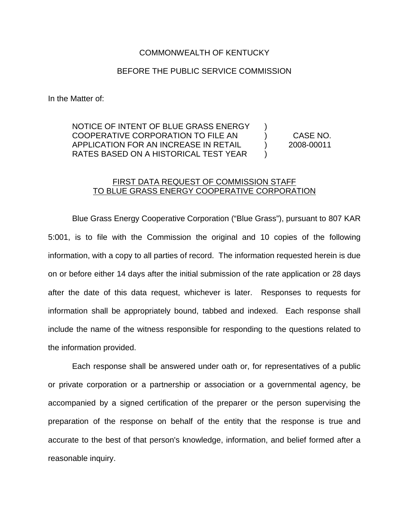# COMMONWEALTH OF KENTUCKY

# BEFORE THE PUBLIC SERVICE COMMISSION

In the Matter of:

# NOTICE OF INTENT OF BLUE GRASS ENERGY ) COOPERATIVE CORPORATION TO FILE AN ) CASE NO. APPLICATION FOR AN INCREASE IN RETAIL ) 2008-00011 RATES BASED ON A HISTORICAL TEST YEAR  $\qquad$  )

# FIRST DATA REQUEST OF COMMISSION STAFF TO BLUE GRASS ENERGY COOPERATIVE CORPORATION

Blue Grass Energy Cooperative Corporation ("Blue Grass"), pursuant to 807 KAR 5:001, is to file with the Commission the original and 10 copies of the following information, with a copy to all parties of record. The information requested herein is due on or before either 14 days after the initial submission of the rate application or 28 days after the date of this data request, whichever is later. Responses to requests for information shall be appropriately bound, tabbed and indexed. Each response shall include the name of the witness responsible for responding to the questions related to the information provided.

Each response shall be answered under oath or, for representatives of a public or private corporation or a partnership or association or a governmental agency, be accompanied by a signed certification of the preparer or the person supervising the preparation of the response on behalf of the entity that the response is true and accurate to the best of that person's knowledge, information, and belief formed after a reasonable inquiry.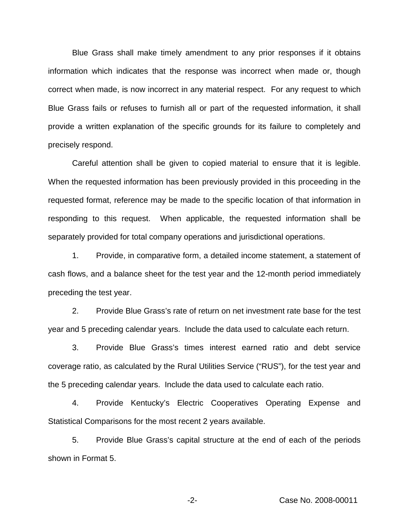Blue Grass shall make timely amendment to any prior responses if it obtains information which indicates that the response was incorrect when made or, though correct when made, is now incorrect in any material respect. For any request to which Blue Grass fails or refuses to furnish all or part of the requested information, it shall provide a written explanation of the specific grounds for its failure to completely and precisely respond.

Careful attention shall be given to copied material to ensure that it is legible. When the requested information has been previously provided in this proceeding in the requested format, reference may be made to the specific location of that information in responding to this request. When applicable, the requested information shall be separately provided for total company operations and jurisdictional operations.

1. Provide, in comparative form, a detailed income statement, a statement of cash flows, and a balance sheet for the test year and the 12-month period immediately preceding the test year.

2. Provide Blue Grass's rate of return on net investment rate base for the test year and 5 preceding calendar years. Include the data used to calculate each return.

3. Provide Blue Grass's times interest earned ratio and debt service coverage ratio, as calculated by the Rural Utilities Service ("RUS"), for the test year and the 5 preceding calendar years. Include the data used to calculate each ratio.

4. Provide Kentucky's Electric Cooperatives Operating Expense and Statistical Comparisons for the most recent 2 years available.

5. Provide Blue Grass's capital structure at the end of each of the periods shown in Format 5.

-2- Case No. 2008-00011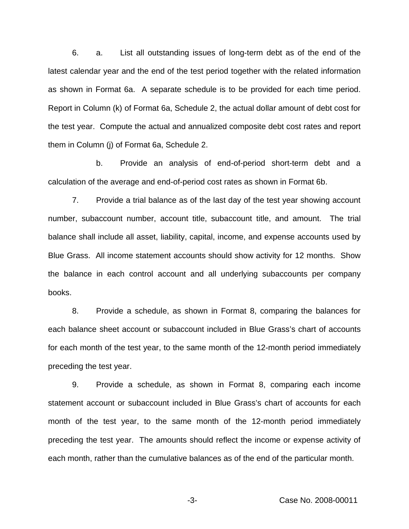6. a. List all outstanding issues of long-term debt as of the end of the latest calendar year and the end of the test period together with the related information as shown in Format 6a. A separate schedule is to be provided for each time period. Report in Column (k) of Format 6a, Schedule 2, the actual dollar amount of debt cost for the test year. Compute the actual and annualized composite debt cost rates and report them in Column (j) of Format 6a, Schedule 2.

b. Provide an analysis of end-of-period short-term debt and a calculation of the average and end-of-period cost rates as shown in Format 6b.

7. Provide a trial balance as of the last day of the test year showing account number, subaccount number, account title, subaccount title, and amount. The trial balance shall include all asset, liability, capital, income, and expense accounts used by Blue Grass. All income statement accounts should show activity for 12 months. Show the balance in each control account and all underlying subaccounts per company books.

8. Provide a schedule, as shown in Format 8, comparing the balances for each balance sheet account or subaccount included in Blue Grass's chart of accounts for each month of the test year, to the same month of the 12-month period immediately preceding the test year.

9. Provide a schedule, as shown in Format 8, comparing each income statement account or subaccount included in Blue Grass's chart of accounts for each month of the test year, to the same month of the 12-month period immediately preceding the test year. The amounts should reflect the income or expense activity of each month, rather than the cumulative balances as of the end of the particular month.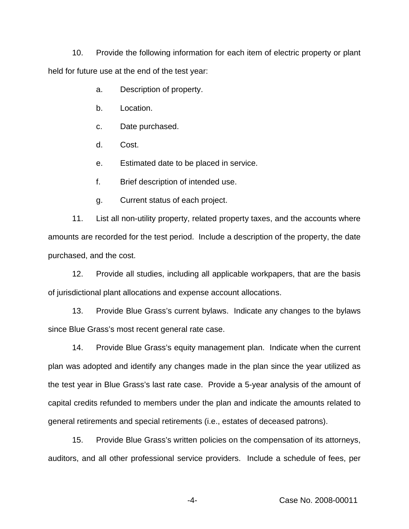10. Provide the following information for each item of electric property or plant held for future use at the end of the test year:

a. Description of property.

b. Location.

c. Date purchased.

d. Cost.

e. Estimated date to be placed in service.

f. Brief description of intended use.

g. Current status of each project.

11. List all non-utility property, related property taxes, and the accounts where amounts are recorded for the test period. Include a description of the property, the date purchased, and the cost.

12. Provide all studies, including all applicable workpapers, that are the basis of jurisdictional plant allocations and expense account allocations.

13. Provide Blue Grass's current bylaws. Indicate any changes to the bylaws since Blue Grass's most recent general rate case.

14. Provide Blue Grass's equity management plan. Indicate when the current plan was adopted and identify any changes made in the plan since the year utilized as the test year in Blue Grass's last rate case. Provide a 5-year analysis of the amount of capital credits refunded to members under the plan and indicate the amounts related to general retirements and special retirements (i.e., estates of deceased patrons).

15. Provide Blue Grass's written policies on the compensation of its attorneys, auditors, and all other professional service providers. Include a schedule of fees, per

-4- Case No. 2008-00011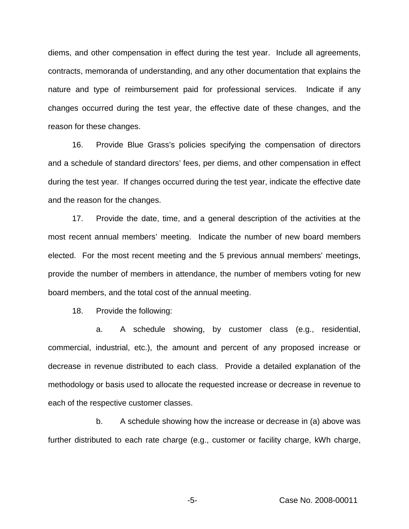diems, and other compensation in effect during the test year. Include all agreements, contracts, memoranda of understanding, and any other documentation that explains the nature and type of reimbursement paid for professional services. Indicate if any changes occurred during the test year, the effective date of these changes, and the reason for these changes.

16. Provide Blue Grass's policies specifying the compensation of directors and a schedule of standard directors' fees, per diems, and other compensation in effect during the test year. If changes occurred during the test year, indicate the effective date and the reason for the changes.

17. Provide the date, time, and a general description of the activities at the most recent annual members' meeting. Indicate the number of new board members elected. For the most recent meeting and the 5 previous annual members' meetings, provide the number of members in attendance, the number of members voting for new board members, and the total cost of the annual meeting.

18. Provide the following:

a. A schedule showing, by customer class (e.g., residential, commercial, industrial, etc.), the amount and percent of any proposed increase or decrease in revenue distributed to each class. Provide a detailed explanation of the methodology or basis used to allocate the requested increase or decrease in revenue to each of the respective customer classes.

b. A schedule showing how the increase or decrease in (a) above was further distributed to each rate charge (e.g., customer or facility charge, kWh charge,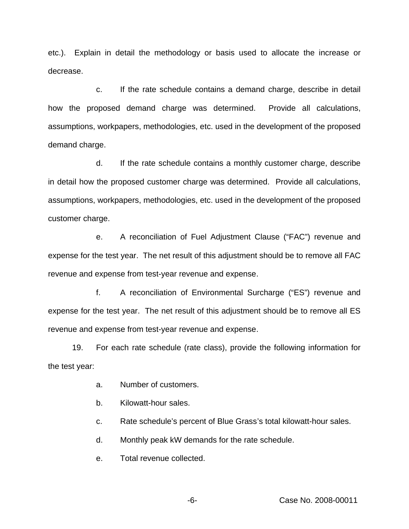etc.). Explain in detail the methodology or basis used to allocate the increase or decrease.

c. If the rate schedule contains a demand charge, describe in detail how the proposed demand charge was determined. Provide all calculations, assumptions, workpapers, methodologies, etc. used in the development of the proposed demand charge.

d. If the rate schedule contains a monthly customer charge, describe in detail how the proposed customer charge was determined. Provide all calculations, assumptions, workpapers, methodologies, etc. used in the development of the proposed customer charge.

e. A reconciliation of Fuel Adjustment Clause ("FAC") revenue and expense for the test year. The net result of this adjustment should be to remove all FAC revenue and expense from test-year revenue and expense.

f. A reconciliation of Environmental Surcharge ("ES") revenue and expense for the test year. The net result of this adjustment should be to remove all ES revenue and expense from test-year revenue and expense.

19. For each rate schedule (rate class), provide the following information for the test year:

- a. Number of customers.
- b. Kilowatt-hour sales.

c. Rate schedule's percent of Blue Grass's total kilowatt-hour sales.

- d. Monthly peak kW demands for the rate schedule.
- e. Total revenue collected.

-6- Case No. 2008-00011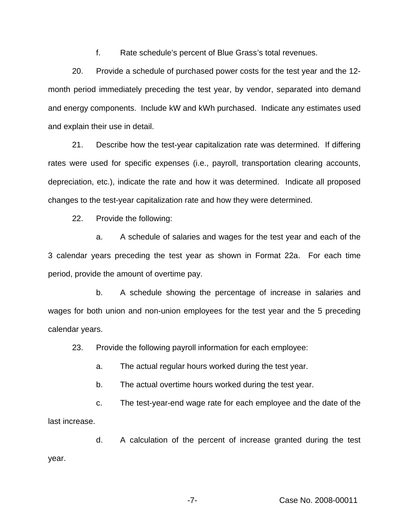f. Rate schedule's percent of Blue Grass's total revenues.

20. Provide a schedule of purchased power costs for the test year and the 12 month period immediately preceding the test year, by vendor, separated into demand and energy components. Include kW and kWh purchased. Indicate any estimates used and explain their use in detail.

21. Describe how the test-year capitalization rate was determined. If differing rates were used for specific expenses (i.e., payroll, transportation clearing accounts, depreciation, etc.), indicate the rate and how it was determined. Indicate all proposed changes to the test-year capitalization rate and how they were determined.

22. Provide the following:

a. A schedule of salaries and wages for the test year and each of the 3 calendar years preceding the test year as shown in Format 22a. For each time period, provide the amount of overtime pay.

b. A schedule showing the percentage of increase in salaries and wages for both union and non-union employees for the test year and the 5 preceding calendar years.

23. Provide the following payroll information for each employee:

a. The actual regular hours worked during the test year.

b. The actual overtime hours worked during the test year.

c. The test-year-end wage rate for each employee and the date of the last increase.

d. A calculation of the percent of increase granted during the test year.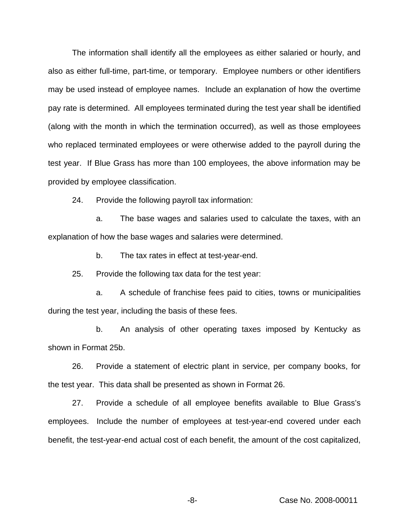The information shall identify all the employees as either salaried or hourly, and also as either full-time, part-time, or temporary. Employee numbers or other identifiers may be used instead of employee names. Include an explanation of how the overtime pay rate is determined. All employees terminated during the test year shall be identified (along with the month in which the termination occurred), as well as those employees who replaced terminated employees or were otherwise added to the payroll during the test year. If Blue Grass has more than 100 employees, the above information may be provided by employee classification.

24. Provide the following payroll tax information:

a. The base wages and salaries used to calculate the taxes, with an explanation of how the base wages and salaries were determined.

b. The tax rates in effect at test-year-end.

25. Provide the following tax data for the test year:

a. A schedule of franchise fees paid to cities, towns or municipalities during the test year, including the basis of these fees.

b. An analysis of other operating taxes imposed by Kentucky as shown in Format 25b.

26. Provide a statement of electric plant in service, per company books, for the test year. This data shall be presented as shown in Format 26.

27. Provide a schedule of all employee benefits available to Blue Grass's employees. Include the number of employees at test-year-end covered under each benefit, the test-year-end actual cost of each benefit, the amount of the cost capitalized,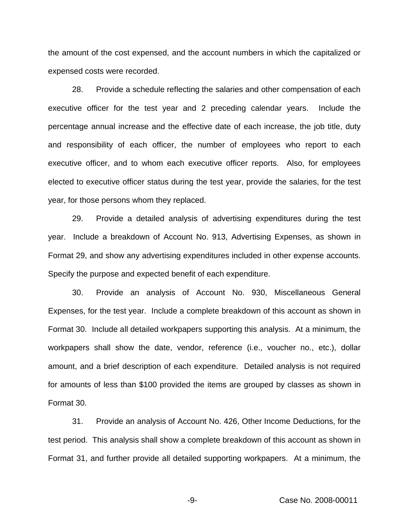the amount of the cost expensed, and the account numbers in which the capitalized or expensed costs were recorded.

28. Provide a schedule reflecting the salaries and other compensation of each executive officer for the test year and 2 preceding calendar years. Include the percentage annual increase and the effective date of each increase, the job title, duty and responsibility of each officer, the number of employees who report to each executive officer, and to whom each executive officer reports. Also, for employees elected to executive officer status during the test year, provide the salaries, for the test year, for those persons whom they replaced.

29. Provide a detailed analysis of advertising expenditures during the test year. Include a breakdown of Account No. 913, Advertising Expenses, as shown in Format 29, and show any advertising expenditures included in other expense accounts. Specify the purpose and expected benefit of each expenditure.

30. Provide an analysis of Account No. 930, Miscellaneous General Expenses, for the test year. Include a complete breakdown of this account as shown in Format 30. Include all detailed workpapers supporting this analysis. At a minimum, the workpapers shall show the date, vendor, reference (i.e., voucher no., etc.), dollar amount, and a brief description of each expenditure. Detailed analysis is not required for amounts of less than \$100 provided the items are grouped by classes as shown in Format 30.

31. Provide an analysis of Account No. 426, Other Income Deductions, for the test period. This analysis shall show a complete breakdown of this account as shown in Format 31, and further provide all detailed supporting workpapers. At a minimum, the

-9- Case No. 2008-00011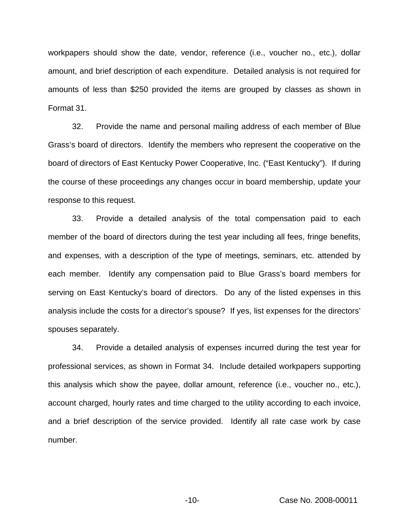workpapers should show the date, vendor, reference (i.e., voucher no., etc.), dollar amount, and brief description of each expenditure. Detailed analysis is not required for amounts of less than \$250 provided the items are grouped by classes as shown in Format 31.

32. Provide the name and personal mailing address of each member of Blue Grass's board of directors. Identify the members who represent the cooperative on the board of directors of East Kentucky Power Cooperative, Inc. ("East Kentucky"). If during the course of these proceedings any changes occur in board membership, update your response to this request.

33. Provide a detailed analysis of the total compensation paid to each member of the board of directors during the test year including all fees, fringe benefits, and expenses, with a description of the type of meetings, seminars, etc. attended by each member. Identify any compensation paid to Blue Grass's board members for serving on East Kentucky's board of directors. Do any of the listed expenses in this analysis include the costs for a director's spouse? If yes, list expenses for the directors' spouses separately.

34. Provide a detailed analysis of expenses incurred during the test year for professional services, as shown in Format 34. Include detailed workpapers supporting this analysis which show the payee, dollar amount, reference (i.e., voucher no., etc.), account charged, hourly rates and time charged to the utility according to each invoice, and a brief description of the service provided. Identify all rate case work by case number.

-10- Case No. 2008-00011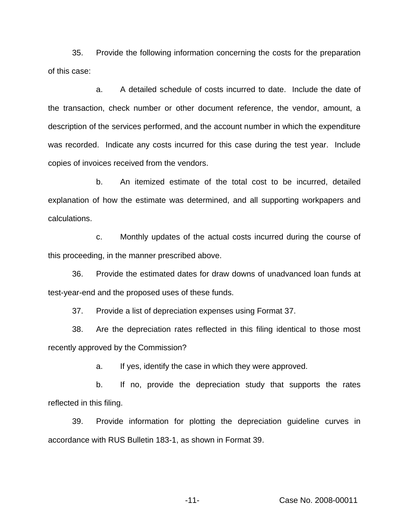35. Provide the following information concerning the costs for the preparation of this case:

a. A detailed schedule of costs incurred to date. Include the date of the transaction, check number or other document reference, the vendor, amount, a description of the services performed, and the account number in which the expenditure was recorded. Indicate any costs incurred for this case during the test year. Include copies of invoices received from the vendors.

b. An itemized estimate of the total cost to be incurred, detailed explanation of how the estimate was determined, and all supporting workpapers and calculations.

c. Monthly updates of the actual costs incurred during the course of this proceeding, in the manner prescribed above.

36. Provide the estimated dates for draw downs of unadvanced loan funds at test-year-end and the proposed uses of these funds.

37. Provide a list of depreciation expenses using Format 37.

38. Are the depreciation rates reflected in this filing identical to those most recently approved by the Commission?

a. If yes, identify the case in which they were approved.

b. If no, provide the depreciation study that supports the rates reflected in this filing.

39. Provide information for plotting the depreciation guideline curves in accordance with RUS Bulletin 183-1, as shown in Format 39.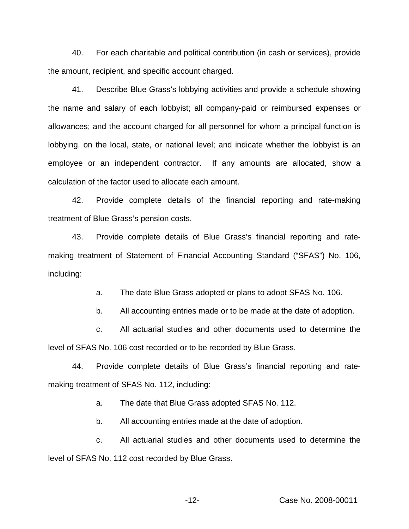40. For each charitable and political contribution (in cash or services), provide the amount, recipient, and specific account charged.

41. Describe Blue Grass's lobbying activities and provide a schedule showing the name and salary of each lobbyist; all company-paid or reimbursed expenses or allowances; and the account charged for all personnel for whom a principal function is lobbying, on the local, state, or national level; and indicate whether the lobbyist is an employee or an independent contractor. If any amounts are allocated, show a calculation of the factor used to allocate each amount.

42. Provide complete details of the financial reporting and rate-making treatment of Blue Grass's pension costs.

43. Provide complete details of Blue Grass's financial reporting and ratemaking treatment of Statement of Financial Accounting Standard ("SFAS") No. 106, including:

a. The date Blue Grass adopted or plans to adopt SFAS No. 106.

b. All accounting entries made or to be made at the date of adoption.

c. All actuarial studies and other documents used to determine the level of SFAS No. 106 cost recorded or to be recorded by Blue Grass.

44. Provide complete details of Blue Grass's financial reporting and ratemaking treatment of SFAS No. 112, including:

a. The date that Blue Grass adopted SFAS No. 112.

b. All accounting entries made at the date of adoption.

c. All actuarial studies and other documents used to determine the level of SFAS No. 112 cost recorded by Blue Grass.

-12- Case No. 2008-00011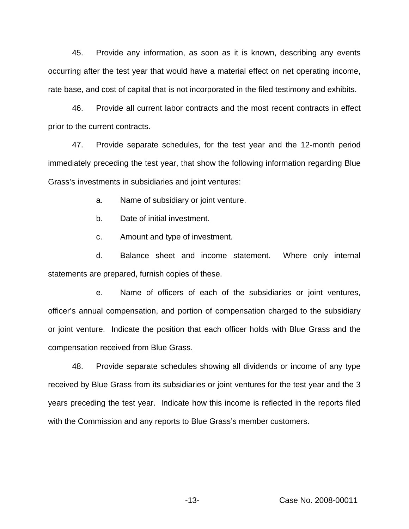45. Provide any information, as soon as it is known, describing any events occurring after the test year that would have a material effect on net operating income, rate base, and cost of capital that is not incorporated in the filed testimony and exhibits.

46. Provide all current labor contracts and the most recent contracts in effect prior to the current contracts.

47. Provide separate schedules, for the test year and the 12-month period immediately preceding the test year, that show the following information regarding Blue Grass's investments in subsidiaries and joint ventures:

a. Name of subsidiary or joint venture.

b. Date of initial investment.

c. Amount and type of investment.

d. Balance sheet and income statement. Where only internal statements are prepared, furnish copies of these.

e. Name of officers of each of the subsidiaries or joint ventures, officer's annual compensation, and portion of compensation charged to the subsidiary or joint venture. Indicate the position that each officer holds with Blue Grass and the compensation received from Blue Grass.

48. Provide separate schedules showing all dividends or income of any type received by Blue Grass from its subsidiaries or joint ventures for the test year and the 3 years preceding the test year. Indicate how this income is reflected in the reports filed with the Commission and any reports to Blue Grass's member customers.

-13- Case No. 2008-00011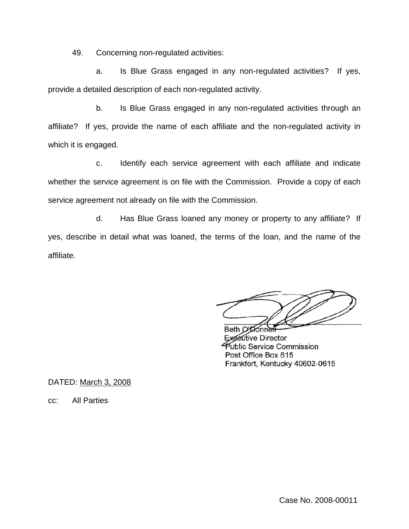49. Concerning non-regulated activities:

a. Is Blue Grass engaged in any non-regulated activities? If yes, provide a detailed description of each non-regulated activity.

b. Is Blue Grass engaged in any non-regulated activities through an affiliate? If yes, provide the name of each affiliate and the non-regulated activity in which it is engaged.

c. Identify each service agreement with each affiliate and indicate whether the service agreement is on file with the Commission. Provide a copy of each service agreement not already on file with the Commission.

d. Has Blue Grass loaned any money or property to any affiliate? If yes, describe in detail what was loaned, the terms of the loan, and the name of the affiliate.

Beth O'Donne **Eutive Director** Public Service Commission Post Office Box 615 Frankfort, Kentucky 40602-0615

DATED: March 3, 2008

cc: All Parties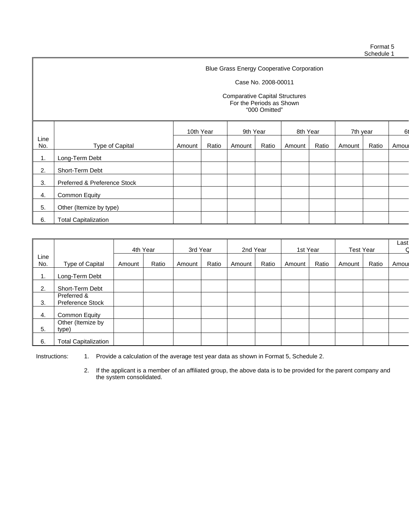#### Case No. 2008-00011

#### Comparative Capital Structures For the Periods as Shown "000 Omitted"

|             |                              | 10th Year |       | 9th Year |       | 8th Year |       | 7th year |       | 61   |
|-------------|------------------------------|-----------|-------|----------|-------|----------|-------|----------|-------|------|
| Line<br>No. | Type of Capital              | Amount    | Ratio | Amount   | Ratio | Amount   | Ratio | Amount   | Ratio | Amou |
| 1.          | Long-Term Debt               |           |       |          |       |          |       |          |       |      |
| 2.          | Short-Term Debt              |           |       |          |       |          |       |          |       |      |
| 3.          | Preferred & Preference Stock |           |       |          |       |          |       |          |       |      |
| 4.          | Common Equity                |           |       |          |       |          |       |          |       |      |
| 5.          | Other (Itemize by type)      |           |       |          |       |          |       |          |       |      |
| 6.          | <b>Total Capitalization</b>  |           |       |          |       |          |       |          |       |      |

|             |                                        | 4th Year |       | 3rd Year |       | 2nd Year |       | 1st Year |       | <b>Test Year</b> |       | Last  |
|-------------|----------------------------------------|----------|-------|----------|-------|----------|-------|----------|-------|------------------|-------|-------|
| Line<br>No. | Type of Capital                        | Amount   | Ratio | Amount   | Ratio | Amount   | Ratio | Amount   | Ratio | Amount           | Ratio | Amoul |
|             |                                        |          |       |          |       |          |       |          |       |                  |       |       |
| 1.          | Long-Term Debt                         |          |       |          |       |          |       |          |       |                  |       |       |
| 2.          | Short-Term Debt                        |          |       |          |       |          |       |          |       |                  |       |       |
| 3.          | Preferred &<br><b>Preference Stock</b> |          |       |          |       |          |       |          |       |                  |       |       |
|             |                                        |          |       |          |       |          |       |          |       |                  |       |       |
| 4.          | Common Equity                          |          |       |          |       |          |       |          |       |                  |       |       |
|             | Other (Itemize by                      |          |       |          |       |          |       |          |       |                  |       |       |
| 5.          | type)                                  |          |       |          |       |          |       |          |       |                  |       |       |
| 6.          | <b>Total Capitalization</b>            |          |       |          |       |          |       |          |       |                  |       |       |

Instructions: 1. Provide a calculation of the average test year data as shown in Format 5, Schedule 2.

2. If the applicant is a member of an affiliated group, the above data is to be provided for the parent company and the system consolidated.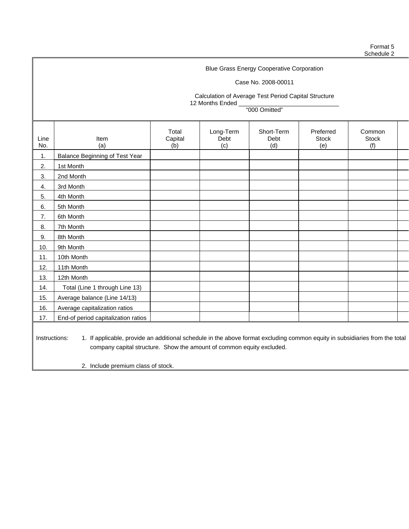## Case No. 2008-00011

Calculation of Average Test Period Capital Structure 12 Months Ended \_

"000 Omitted"

| Line<br>No. | Item<br>(a)                                                                                                                                  | Total<br>Capital<br>(b) | Long-Term<br>Debt<br>(c) | Short-Term<br>Debt<br>(d) | Preferred<br><b>Stock</b><br>(e) | Common<br><b>Stock</b><br>(f) |  |  |  |  |
|-------------|----------------------------------------------------------------------------------------------------------------------------------------------|-------------------------|--------------------------|---------------------------|----------------------------------|-------------------------------|--|--|--|--|
| 1.          | Balance Beginning of Test Year                                                                                                               |                         |                          |                           |                                  |                               |  |  |  |  |
| 2.          | 1st Month                                                                                                                                    |                         |                          |                           |                                  |                               |  |  |  |  |
| 3.          | 2nd Month                                                                                                                                    |                         |                          |                           |                                  |                               |  |  |  |  |
| 4.          | 3rd Month                                                                                                                                    |                         |                          |                           |                                  |                               |  |  |  |  |
| 5.          | 4th Month                                                                                                                                    |                         |                          |                           |                                  |                               |  |  |  |  |
| 6.          | 5th Month                                                                                                                                    |                         |                          |                           |                                  |                               |  |  |  |  |
| 7.          | 6th Month                                                                                                                                    |                         |                          |                           |                                  |                               |  |  |  |  |
| 8.          | 7th Month                                                                                                                                    |                         |                          |                           |                                  |                               |  |  |  |  |
| 9.          | 8th Month                                                                                                                                    |                         |                          |                           |                                  |                               |  |  |  |  |
| 10.         | 9th Month                                                                                                                                    |                         |                          |                           |                                  |                               |  |  |  |  |
| 11.         | 10th Month                                                                                                                                   |                         |                          |                           |                                  |                               |  |  |  |  |
| 12.         | 11th Month                                                                                                                                   |                         |                          |                           |                                  |                               |  |  |  |  |
| 13.         | 12th Month                                                                                                                                   |                         |                          |                           |                                  |                               |  |  |  |  |
| 14.         | Total (Line 1 through Line 13)                                                                                                               |                         |                          |                           |                                  |                               |  |  |  |  |
| 15.         | Average balance (Line 14/13)                                                                                                                 |                         |                          |                           |                                  |                               |  |  |  |  |
| 16.         | Average capitalization ratios                                                                                                                |                         |                          |                           |                                  |                               |  |  |  |  |
| 17.         | End-of period capitalization ratios                                                                                                          |                         |                          |                           |                                  |                               |  |  |  |  |
|             | Instructions:<br>1. If applicable, provide an additional schedule in the above format excluding common equity in subsidiaries from the total |                         |                          |                           |                                  |                               |  |  |  |  |

company capital structure. Show the amount of common equity excluded.

2. Include premium class of stock.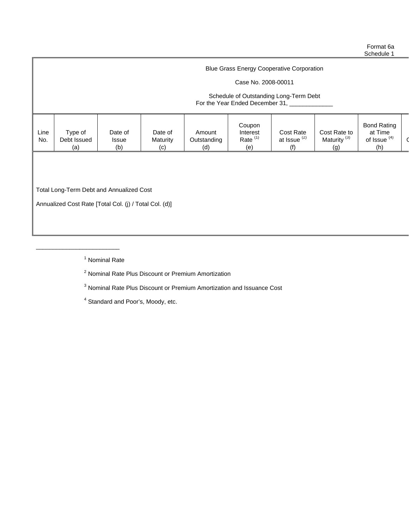#### Case No. 2008-00011

#### Schedule of Outstanding Long-Term Debt For the Year Ended December 31, \_\_\_\_\_\_

|  | Line<br>No. | Type of<br>Debt Issued<br>(a) | Date of<br>Issue<br>(b) | Date of<br>Maturity<br>(c) | Amount<br>Outstanding<br>(d) | Coupon<br>Interest<br>Rate <sup>(1)</sup><br>(e) | Cost Rate<br>at Issue <sup>(2)</sup><br>(f) | Cost Rate to<br>Maturity <sup>(3)</sup><br>(g) | <b>Bond Rating</b><br>at Time<br>of Issue <sup>(4)</sup><br>(h) |  |
|--|-------------|-------------------------------|-------------------------|----------------------------|------------------------------|--------------------------------------------------|---------------------------------------------|------------------------------------------------|-----------------------------------------------------------------|--|
|--|-------------|-------------------------------|-------------------------|----------------------------|------------------------------|--------------------------------------------------|---------------------------------------------|------------------------------------------------|-----------------------------------------------------------------|--|

Total Long-Term Debt and Annualized Cost

\_\_\_\_\_\_\_\_\_\_\_\_\_\_\_\_\_\_\_\_\_\_\_\_\_

Annualized Cost Rate [Total Col. (j) / Total Col. (d)]

<sup>1</sup> Nominal Rate

<sup>2</sup> Nominal Rate Plus Discount or Premium Amortization

<sup>3</sup> Nominal Rate Plus Discount or Premium Amortization and Issuance Cost

<sup>4</sup> Standard and Poor's, Moody, etc.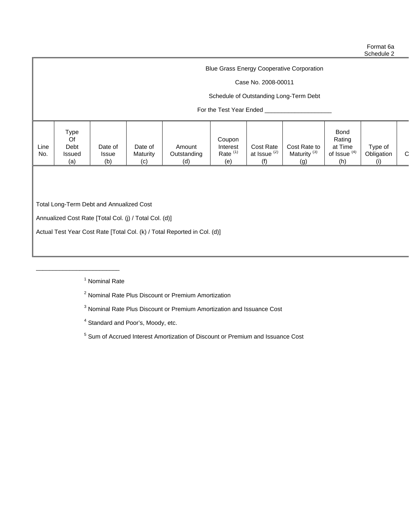## Case No. 2008-00011

## Schedule of Outstanding Long-Term Debt

## For the Test Year Ended \_\_\_\_\_\_\_

| Type<br><b>Bond</b><br>Of<br>Rating<br>Coupon<br>Cost Rate to<br>Line<br>Debt<br>at Time<br>Cost Rate<br>Type of<br>Date of<br>Interest<br>Date of<br>Amount<br>at Issue <sup>(2)</sup><br>Maturity <sup>(3)</sup><br>of Issue <sup>(4)</sup><br>Rate <sup>(1)</sup><br>⌒<br>Obligation<br>Maturity<br>No.<br>Outstanding<br>Issued<br><b>Issue</b><br>(b)<br>(h)<br>(d)<br>(a)<br>(e)<br>(c)<br>(g) |
|------------------------------------------------------------------------------------------------------------------------------------------------------------------------------------------------------------------------------------------------------------------------------------------------------------------------------------------------------------------------------------------------------|

Total Long-Term Debt and Annualized Cost

\_\_\_\_\_\_\_\_\_\_\_\_\_\_\_\_\_\_\_\_\_\_\_\_\_

Annualized Cost Rate [Total Col. (j) / Total Col. (d)]

Actual Test Year Cost Rate [Total Col. (k) / Total Reported in Col. (d)]

<sup>1</sup> Nominal Rate

<sup>2</sup> Nominal Rate Plus Discount or Premium Amortization

<sup>3</sup> Nominal Rate Plus Discount or Premium Amortization and Issuance Cost

<sup>4</sup> Standard and Poor's, Moody, etc.

<sup>5</sup> Sum of Accrued Interest Amortization of Discount or Premium and Issuance Cost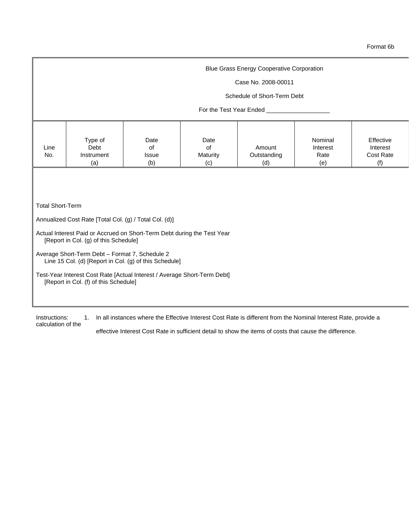#### Case No. 2008-00011

#### Schedule of Short-Term Debt

## For the Test Year Ended \_\_\_

Total Short-Term

Annualized Cost Rate [Total Col. (g) / Total Col. (d)]

- Actual Interest Paid or Accrued on Short-Term Debt during the Test Year [Report in Col. (g) of this Schedule]
- Average Short-Term Debt Format 7, Schedule 2 Line 15 Col. (d) [Report in Col. (g) of this Schedule]
- Test-Year Interest Cost Rate [Actual Interest / Average Short-Term Debt] [Report in Col. (f) of this Schedule]

Instructions: 1. In all instances where the Effective Interest Cost Rate is different from the Nominal Interest Rate, provide a calculation of the

effective Interest Cost Rate in sufficient detail to show the items of costs that cause the difference.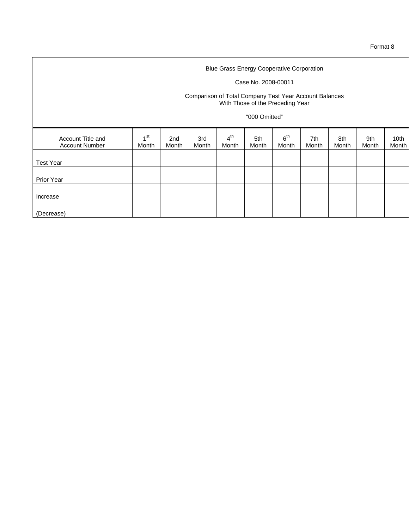## Case No. 2008-00011

#### Comparison of Total Company Test Year Account Balances With Those of the Preceding Year

## "000 Omitted"

| Account Title and<br><b>Account Number</b> | 4 <sup>st</sup><br>Month | 2nd<br>Month | 3rd<br>Month | 4 <sup>th</sup><br>Month | 5th<br>Month | 6 <sup>th</sup><br>Month | 7th<br>Month | 8th<br>Month | 9th<br>Month | 10th<br>Month |
|--------------------------------------------|--------------------------|--------------|--------------|--------------------------|--------------|--------------------------|--------------|--------------|--------------|---------------|
| <b>Test Year</b>                           |                          |              |              |                          |              |                          |              |              |              |               |
| <b>Prior Year</b>                          |                          |              |              |                          |              |                          |              |              |              |               |
| Increase                                   |                          |              |              |                          |              |                          |              |              |              |               |
| (Decrease)                                 |                          |              |              |                          |              |                          |              |              |              |               |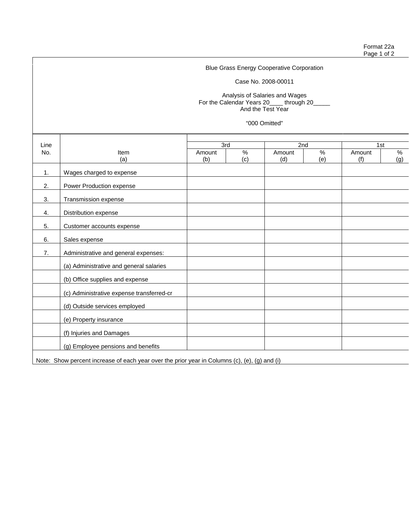Case No. 2008-00011

Analysis of Salaries and Wages For the Calendar Years 20\_\_\_\_ through 20\_\_\_\_\_ And the Test Year

"000 Omitted"

| Line |                                                                                               | 3rd    |      | 2nd    |     | 1st    |     |
|------|-----------------------------------------------------------------------------------------------|--------|------|--------|-----|--------|-----|
| No.  | <b>Item</b>                                                                                   | Amount | $\%$ | Amount | %   | Amount | %   |
|      | (a)                                                                                           | (b)    | (c)  | (d)    | (e) | (f)    | (g) |
| 1.   | Wages charged to expense                                                                      |        |      |        |     |        |     |
| 2.   | Power Production expense                                                                      |        |      |        |     |        |     |
| 3.   | Transmission expense                                                                          |        |      |        |     |        |     |
| 4.   | Distribution expense                                                                          |        |      |        |     |        |     |
| 5.   | Customer accounts expense                                                                     |        |      |        |     |        |     |
| 6.   | Sales expense                                                                                 |        |      |        |     |        |     |
| 7.   | Administrative and general expenses:                                                          |        |      |        |     |        |     |
|      | (a) Administrative and general salaries                                                       |        |      |        |     |        |     |
|      | (b) Office supplies and expense                                                               |        |      |        |     |        |     |
|      | (c) Administrative expense transferred-cr                                                     |        |      |        |     |        |     |
|      | (d) Outside services employed                                                                 |        |      |        |     |        |     |
|      | (e) Property insurance                                                                        |        |      |        |     |        |     |
|      | (f) Injuries and Damages                                                                      |        |      |        |     |        |     |
|      | (g) Employee pensions and benefits                                                            |        |      |        |     |        |     |
|      | Note: Show percent increase of each year over the prior year in Columns (c), (e), (g) and (i) |        |      |        |     |        |     |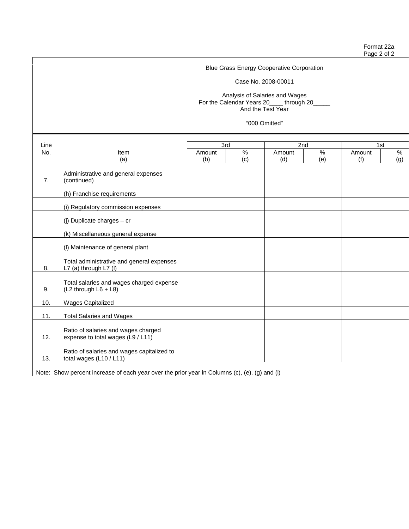Case No. 2008-00011

Analysis of Salaries and Wages For the Calendar Years 20\_\_\_\_ through 20\_\_\_\_\_ And the Test Year

"000 Omitted"

| Line |                                                                                               | 3rd    |     | 2nd    |      | 1st    |     |
|------|-----------------------------------------------------------------------------------------------|--------|-----|--------|------|--------|-----|
| No.  | Item                                                                                          | Amount | %   | Amount | $\%$ | Amount | %   |
|      | (a)                                                                                           | (b)    | (c) | (d)    | (e)  | (f)    | (g) |
| 7.   | Administrative and general expenses<br>(continued)                                            |        |     |        |      |        |     |
|      | (h) Franchise requirements                                                                    |        |     |        |      |        |     |
|      | (i) Regulatory commission expenses                                                            |        |     |        |      |        |     |
|      | (j) Duplicate charges $-$ cr                                                                  |        |     |        |      |        |     |
|      | (k) Miscellaneous general expense                                                             |        |     |        |      |        |     |
|      | (I) Maintenance of general plant                                                              |        |     |        |      |        |     |
| 8.   | Total administrative and general expenses<br>L7 (a) through L7 (I)                            |        |     |        |      |        |     |
| 9.   | Total salaries and wages charged expense<br>(L2 through L6 + L8)                              |        |     |        |      |        |     |
| 10.  | <b>Wages Capitalized</b>                                                                      |        |     |        |      |        |     |
| 11.  | <b>Total Salaries and Wages</b>                                                               |        |     |        |      |        |     |
| 12.  | Ratio of salaries and wages charged<br>expense to total wages (L9 / L11)                      |        |     |        |      |        |     |
| 13.  | Ratio of salaries and wages capitalized to<br>total wages (L10 / L11)                         |        |     |        |      |        |     |
|      | Note: Show percent increase of each year over the prior year in Columns (c), (e), (g) and (i) |        |     |        |      |        |     |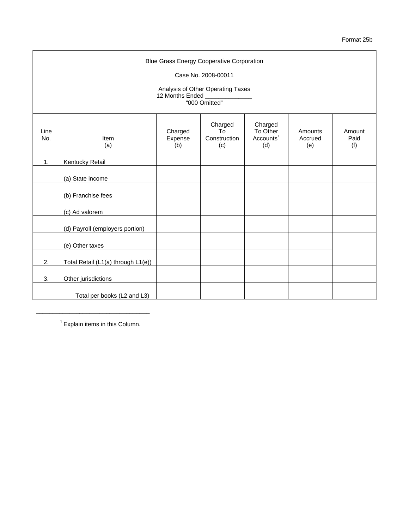Format 25b

|             | <b>Blue Grass Energy Cooperative Corporation</b> |                           |                                      |                                                     |                           |                       |  |  |  |  |  |  |
|-------------|--------------------------------------------------|---------------------------|--------------------------------------|-----------------------------------------------------|---------------------------|-----------------------|--|--|--|--|--|--|
|             | Case No. 2008-00011                              |                           |                                      |                                                     |                           |                       |  |  |  |  |  |  |
|             | Analysis of Other Operating Taxes                |                           |                                      |                                                     |                           |                       |  |  |  |  |  |  |
|             | 12 Months Ended ____<br>"000 Omitted"            |                           |                                      |                                                     |                           |                       |  |  |  |  |  |  |
| Line<br>No. | Item<br>(a)                                      | Charged<br>Expense<br>(b) | Charged<br>To<br>Construction<br>(c) | Charged<br>To Other<br>Accounts <sup>1</sup><br>(d) | Amounts<br>Accrued<br>(e) | Amount<br>Paid<br>(f) |  |  |  |  |  |  |
| 1.          | Kentucky Retail                                  |                           |                                      |                                                     |                           |                       |  |  |  |  |  |  |
|             | (a) State income                                 |                           |                                      |                                                     |                           |                       |  |  |  |  |  |  |
|             | (b) Franchise fees                               |                           |                                      |                                                     |                           |                       |  |  |  |  |  |  |
|             | (c) Ad valorem                                   |                           |                                      |                                                     |                           |                       |  |  |  |  |  |  |
|             | (d) Payroll (employers portion)                  |                           |                                      |                                                     |                           |                       |  |  |  |  |  |  |
|             | (e) Other taxes                                  |                           |                                      |                                                     |                           |                       |  |  |  |  |  |  |
| 2.          | Total Retail (L1(a) through L1(e))               |                           |                                      |                                                     |                           |                       |  |  |  |  |  |  |
| 3.          | Other jurisdictions                              |                           |                                      |                                                     |                           |                       |  |  |  |  |  |  |
|             | Total per books (L2 and L3)                      |                           |                                      |                                                     |                           |                       |  |  |  |  |  |  |

 $1$  Explain items in this Column.

\_\_\_\_\_\_\_\_\_\_\_\_\_\_\_\_\_\_\_\_\_\_\_\_\_\_\_\_\_\_\_\_\_\_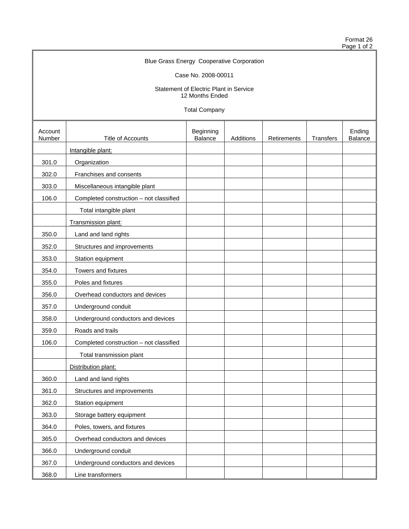Format 26 Page 1 of 2

# Blue Grass Energy Cooperative Corporation Case No. 2008-00011

Statement of Electric Plant in Service 12 Months Ended

Total Company

| Account<br>Number | Title of Accounts                       | Beginning<br>Balance | Additions | Retirements | Transfers | Ending<br>Balance |
|-------------------|-----------------------------------------|----------------------|-----------|-------------|-----------|-------------------|
|                   | Intangible plant:                       |                      |           |             |           |                   |
| 301.0             | Organization                            |                      |           |             |           |                   |
| 302.0             | Franchises and consents                 |                      |           |             |           |                   |
| 303.0             | Miscellaneous intangible plant          |                      |           |             |           |                   |
| 106.0             | Completed construction - not classified |                      |           |             |           |                   |
|                   | Total intangible plant                  |                      |           |             |           |                   |
|                   | Transmission plant:                     |                      |           |             |           |                   |
| 350.0             | Land and land rights                    |                      |           |             |           |                   |
| 352.0             | Structures and improvements             |                      |           |             |           |                   |
| 353.0             | Station equipment                       |                      |           |             |           |                   |
| 354.0             | Towers and fixtures                     |                      |           |             |           |                   |
| 355.0             | Poles and fixtures                      |                      |           |             |           |                   |
| 356.0             | Overhead conductors and devices         |                      |           |             |           |                   |
| 357.0             | Underground conduit                     |                      |           |             |           |                   |
| 358.0             | Underground conductors and devices      |                      |           |             |           |                   |
| 359.0             | Roads and trails                        |                      |           |             |           |                   |
| 106.0             | Completed construction - not classified |                      |           |             |           |                   |
|                   | Total transmission plant                |                      |           |             |           |                   |
|                   | Distribution plant:                     |                      |           |             |           |                   |
| 360.0             | Land and land rights                    |                      |           |             |           |                   |
| 361.0             | Structures and improvements             |                      |           |             |           |                   |
| 362.0             | Station equipment                       |                      |           |             |           |                   |
| 363.0             | Storage battery equipment               |                      |           |             |           |                   |
| 364.0             | Poles, towers, and fixtures             |                      |           |             |           |                   |
| 365.0             | Overhead conductors and devices         |                      |           |             |           |                   |
| 366.0             | Underground conduit                     |                      |           |             |           |                   |
| 367.0             | Underground conductors and devices      |                      |           |             |           |                   |
| 368.0             | Line transformers                       |                      |           |             |           |                   |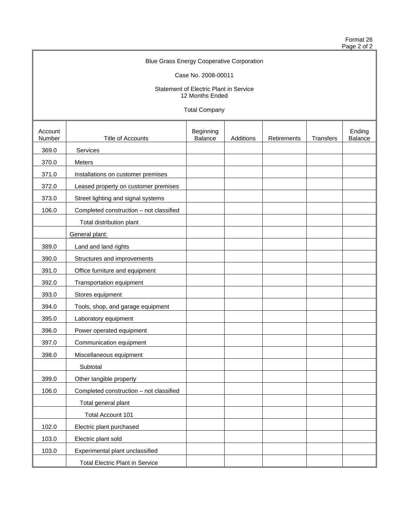Format 26 Page 2 of 2

# Blue Grass Energy Cooperative Corporation

Case No. 2008-00011

Statement of Electric Plant in Service 12 Months Ended

Total Company

| Account<br>Number | <b>Title of Accounts</b>                | Beginning<br>Balance | Additions | Retirements | Transfers | Ending<br>Balance |
|-------------------|-----------------------------------------|----------------------|-----------|-------------|-----------|-------------------|
| 369.0             | Services                                |                      |           |             |           |                   |
| 370.0             | Meters                                  |                      |           |             |           |                   |
| 371.0             | Installations on customer premises      |                      |           |             |           |                   |
| 372.0             | Leased property on customer premises    |                      |           |             |           |                   |
| 373.0             | Street lighting and signal systems      |                      |           |             |           |                   |
| 106.0             | Completed construction - not classified |                      |           |             |           |                   |
|                   | Total distribution plant                |                      |           |             |           |                   |
|                   | General plant:                          |                      |           |             |           |                   |
| 389.0             | Land and land rights                    |                      |           |             |           |                   |
| 390.0             | Structures and improvements             |                      |           |             |           |                   |
| 391.0             | Office furniture and equipment          |                      |           |             |           |                   |
| 392.0             | Transportation equipment                |                      |           |             |           |                   |
| 393.0             | Stores equipment                        |                      |           |             |           |                   |
| 394.0             | Tools, shop, and garage equipment       |                      |           |             |           |                   |
| 395.0             | Laboratory equipment                    |                      |           |             |           |                   |
| 396.0             | Power operated equipment                |                      |           |             |           |                   |
| 397.0             | Communication equipment                 |                      |           |             |           |                   |
| 398.0             | Miscellaneous equipment                 |                      |           |             |           |                   |
|                   | Subtotal                                |                      |           |             |           |                   |
| 399.0             | Other tangible property                 |                      |           |             |           |                   |
| 106.0             | Completed construction - not classified |                      |           |             |           |                   |
|                   | Total general plant                     |                      |           |             |           |                   |
|                   | Total Account 101                       |                      |           |             |           |                   |
| 102.0             | Electric plant purchased                |                      |           |             |           |                   |
| 103.0             | Electric plant sold                     |                      |           |             |           |                   |
| 103.0             | Experimental plant unclassified         |                      |           |             |           |                   |
|                   | <b>Total Electric Plant in Service</b>  |                      |           |             |           |                   |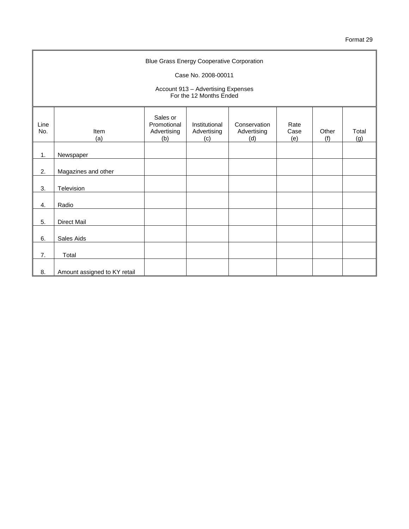|             | <b>Blue Grass Energy Cooperative Corporation</b><br>Case No. 2008-00011 |                                               |                                                               |                                    |                     |              |              |
|-------------|-------------------------------------------------------------------------|-----------------------------------------------|---------------------------------------------------------------|------------------------------------|---------------------|--------------|--------------|
|             |                                                                         |                                               |                                                               |                                    |                     |              |              |
|             |                                                                         |                                               | Account 913 - Advertising Expenses<br>For the 12 Months Ended |                                    |                     |              |              |
| Line<br>No. | <b>Item</b><br>(a)                                                      | Sales or<br>Promotional<br>Advertising<br>(b) | Institutional<br>Advertising<br>(c)                           | Conservation<br>Advertising<br>(d) | Rate<br>Case<br>(e) | Other<br>(f) | Total<br>(g) |
| 1.          | Newspaper                                                               |                                               |                                                               |                                    |                     |              |              |
| 2.          | Magazines and other                                                     |                                               |                                                               |                                    |                     |              |              |
| 3.          | Television                                                              |                                               |                                                               |                                    |                     |              |              |
| 4.          | Radio                                                                   |                                               |                                                               |                                    |                     |              |              |
| 5.          | <b>Direct Mail</b>                                                      |                                               |                                                               |                                    |                     |              |              |
| 6.          | Sales Aids                                                              |                                               |                                                               |                                    |                     |              |              |
| 7.          | Total                                                                   |                                               |                                                               |                                    |                     |              |              |
| 8.          | Amount assigned to KY retail                                            |                                               |                                                               |                                    |                     |              |              |

 $\blacksquare$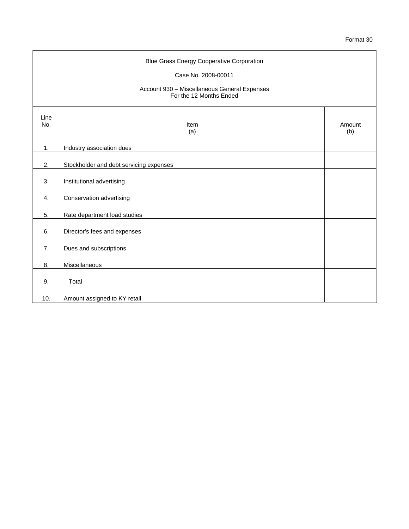| <b>Blue Grass Energy Cooperative Corporation</b> |                                                                         |               |  |  |  |
|--------------------------------------------------|-------------------------------------------------------------------------|---------------|--|--|--|
|                                                  | Case No. 2008-00011                                                     |               |  |  |  |
|                                                  | Account 930 - Miscellaneous General Expenses<br>For the 12 Months Ended |               |  |  |  |
| Line<br>No.                                      | Item<br>(a)                                                             | Amount<br>(b) |  |  |  |
| 1.                                               | Industry association dues                                               |               |  |  |  |
| 2.                                               | Stockholder and debt servicing expenses                                 |               |  |  |  |
| 3.                                               | Institutional advertising                                               |               |  |  |  |
| 4.                                               | Conservation advertising                                                |               |  |  |  |
| 5.                                               | Rate department load studies                                            |               |  |  |  |
| 6.                                               | Director's fees and expenses                                            |               |  |  |  |
| 7.                                               | Dues and subscriptions                                                  |               |  |  |  |
| 8.                                               | Miscellaneous                                                           |               |  |  |  |
| 9.                                               | Total                                                                   |               |  |  |  |
| 10.                                              | Amount assigned to KY retail                                            |               |  |  |  |

 $\mathbf{r}$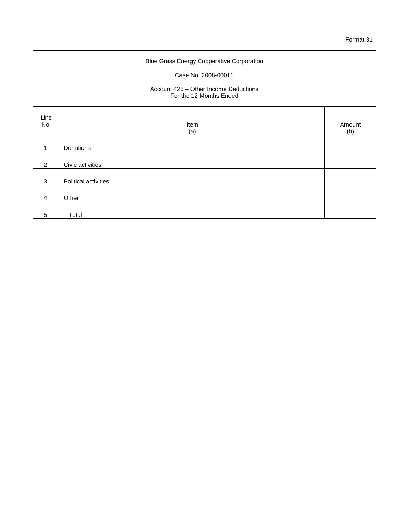| <b>Blue Grass Energy Cooperative Corporation</b><br>Case No. 2008-00011<br>Account 426 – Other Income Deductions<br>For the 12 Months Ended |                      |               |  |  |
|---------------------------------------------------------------------------------------------------------------------------------------------|----------------------|---------------|--|--|
| Line<br>No.                                                                                                                                 | Item<br>(a)          | Amount<br>(b) |  |  |
| 1.                                                                                                                                          | Donations            |               |  |  |
| 2.                                                                                                                                          | Civic activities     |               |  |  |
| 3.                                                                                                                                          | Political activities |               |  |  |
| 4.                                                                                                                                          | Other                |               |  |  |
| 5.                                                                                                                                          | Total                |               |  |  |

 $\blacksquare$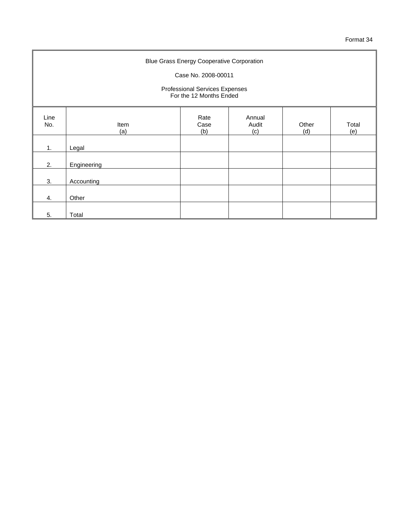| <b>Blue Grass Energy Cooperative Corporation</b><br>Case No. 2008-00011<br>Professional Services Expenses<br>For the 12 Months Ended |             |                     |                        |              |              |
|--------------------------------------------------------------------------------------------------------------------------------------|-------------|---------------------|------------------------|--------------|--------------|
| Line<br>No.                                                                                                                          | Item<br>(a) | Rate<br>Case<br>(b) | Annual<br>Audit<br>(c) | Other<br>(d) | Total<br>(e) |
| 1.                                                                                                                                   | Legal       |                     |                        |              |              |
| 2.                                                                                                                                   | Engineering |                     |                        |              |              |
| 3.                                                                                                                                   | Accounting  |                     |                        |              |              |
| 4.                                                                                                                                   | Other       |                     |                        |              |              |
| 5.                                                                                                                                   | Total       |                     |                        |              |              |

 $\blacksquare$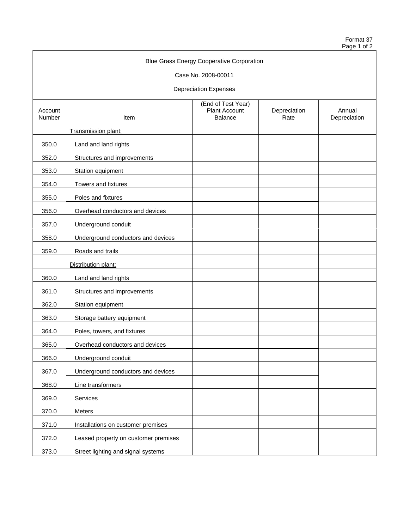Format 37 Page 1 of 2

|                   |                                      | <b>Blue Grass Energy Cooperative Corporation</b>             |                      |                        |
|-------------------|--------------------------------------|--------------------------------------------------------------|----------------------|------------------------|
|                   |                                      | Case No. 2008-00011                                          |                      |                        |
|                   |                                      | <b>Depreciation Expenses</b>                                 |                      |                        |
| Account<br>Number | Item                                 | (End of Test Year)<br><b>Plant Account</b><br><b>Balance</b> | Depreciation<br>Rate | Annual<br>Depreciation |
|                   | Transmission plant:                  |                                                              |                      |                        |
| 350.0             | Land and land rights                 |                                                              |                      |                        |
| 352.0             | Structures and improvements          |                                                              |                      |                        |
| 353.0             | Station equipment                    |                                                              |                      |                        |
| 354.0             | Towers and fixtures                  |                                                              |                      |                        |
| 355.0             | Poles and fixtures                   |                                                              |                      |                        |
| 356.0             | Overhead conductors and devices      |                                                              |                      |                        |
| 357.0             | Underground conduit                  |                                                              |                      |                        |
| 358.0             | Underground conductors and devices   |                                                              |                      |                        |
| 359.0             | Roads and trails                     |                                                              |                      |                        |
|                   | Distribution plant:                  |                                                              |                      |                        |
| 360.0             | Land and land rights                 |                                                              |                      |                        |
| 361.0             | Structures and improvements          |                                                              |                      |                        |
| 362.0             | Station equipment                    |                                                              |                      |                        |
| 363.0             | Storage battery equipment            |                                                              |                      |                        |
| 364.0             | Poles, towers, and fixtures          |                                                              |                      |                        |
| 365.0             | Overhead conductors and devices      |                                                              |                      |                        |
| 366.0             | Underground conduit                  |                                                              |                      |                        |
| 367.0             | Underground conductors and devices   |                                                              |                      |                        |
| 368.0             | Line transformers                    |                                                              |                      |                        |
| 369.0             | Services                             |                                                              |                      |                        |
| 370.0             | Meters                               |                                                              |                      |                        |
| 371.0             | Installations on customer premises   |                                                              |                      |                        |
| 372.0             | Leased property on customer premises |                                                              |                      |                        |
| 373.0             | Street lighting and signal systems   |                                                              |                      |                        |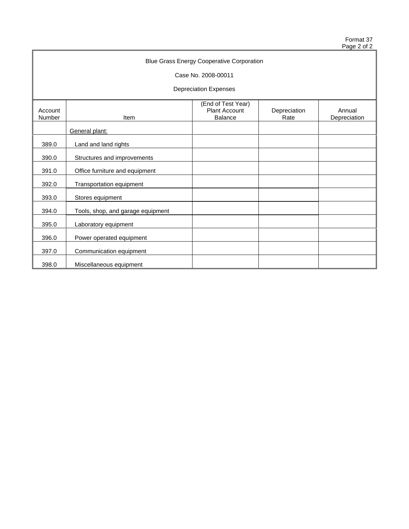Format 37 Page 2 of 2

| <b>Blue Grass Energy Cooperative Corporation</b> |                                   |                                                              |                      |                        |  |  |  |
|--------------------------------------------------|-----------------------------------|--------------------------------------------------------------|----------------------|------------------------|--|--|--|
| Case No. 2008-00011                              |                                   |                                                              |                      |                        |  |  |  |
|                                                  | <b>Depreciation Expenses</b>      |                                                              |                      |                        |  |  |  |
| Account<br>Number                                | Item                              | (End of Test Year)<br><b>Plant Account</b><br><b>Balance</b> | Depreciation<br>Rate | Annual<br>Depreciation |  |  |  |
|                                                  | General plant:                    |                                                              |                      |                        |  |  |  |
| 389.0                                            | Land and land rights              |                                                              |                      |                        |  |  |  |
| 390.0                                            | Structures and improvements       |                                                              |                      |                        |  |  |  |
| 391.0                                            | Office furniture and equipment    |                                                              |                      |                        |  |  |  |
| 392.0                                            | Transportation equipment          |                                                              |                      |                        |  |  |  |
| 393.0                                            | Stores equipment                  |                                                              |                      |                        |  |  |  |
| 394.0                                            | Tools, shop, and garage equipment |                                                              |                      |                        |  |  |  |
| 395.0                                            | Laboratory equipment              |                                                              |                      |                        |  |  |  |
| 396.0                                            | Power operated equipment          |                                                              |                      |                        |  |  |  |
| 397.0                                            | Communication equipment           |                                                              |                      |                        |  |  |  |
| 398.0                                            | Miscellaneous equipment           |                                                              |                      |                        |  |  |  |